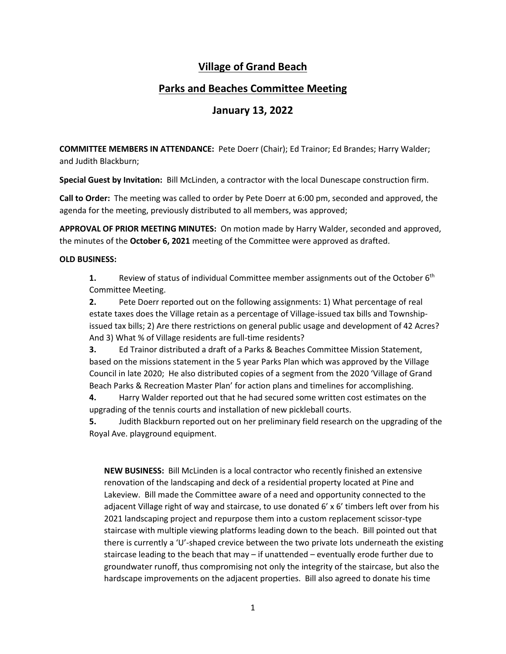# **Village of Grand Beach**

## **Parks and Beaches Committee Meeting**

## **January 13, 2022**

**COMMITTEE MEMBERS IN ATTENDANCE:** Pete Doerr (Chair); Ed Trainor; Ed Brandes; Harry Walder; and Judith Blackburn;

**Special Guest by Invitation:** Bill McLinden, a contractor with the local Dunescape construction firm.

**Call to Order:** The meeting was called to order by Pete Doerr at 6:00 pm, seconded and approved, the agenda for the meeting, previously distributed to all members, was approved;

**APPROVAL OF PRIOR MEETING MINUTES:** On motion made by Harry Walder, seconded and approved, the minutes of the **October 6, 2021** meeting of the Committee were approved as drafted.

### **OLD BUSINESS:**

**1.** Review of status of individual Committee member assignments out of the October 6<sup>th</sup> Committee Meeting.

**2.** Pete Doerr reported out on the following assignments: 1) What percentage of real estate taxes does the Village retain as a percentage of Village-issued tax bills and Townshipissued tax bills; 2) Are there restrictions on general public usage and development of 42 Acres? And 3) What % of Village residents are full-time residents?

**3.** Ed Trainor distributed a draft of a Parks & Beaches Committee Mission Statement, based on the missions statement in the 5 year Parks Plan which was approved by the Village Council in late 2020; He also distributed copies of a segment from the 2020 'Village of Grand Beach Parks & Recreation Master Plan' for action plans and timelines for accomplishing.

**4.** Harry Walder reported out that he had secured some written cost estimates on the upgrading of the tennis courts and installation of new pickleball courts.

**5.** Judith Blackburn reported out on her preliminary field research on the upgrading of the Royal Ave. playground equipment.

**NEW BUSINESS:** Bill McLinden is a local contractor who recently finished an extensive renovation of the landscaping and deck of a residential property located at Pine and Lakeview. Bill made the Committee aware of a need and opportunity connected to the adjacent Village right of way and staircase, to use donated 6' x 6' timbers left over from his 2021 landscaping project and repurpose them into a custom replacement scissor-type staircase with multiple viewing platforms leading down to the beach. Bill pointed out that there is currently a 'U'-shaped crevice between the two private lots underneath the existing staircase leading to the beach that may – if unattended – eventually erode further due to groundwater runoff, thus compromising not only the integrity of the staircase, but also the hardscape improvements on the adjacent properties. Bill also agreed to donate his time